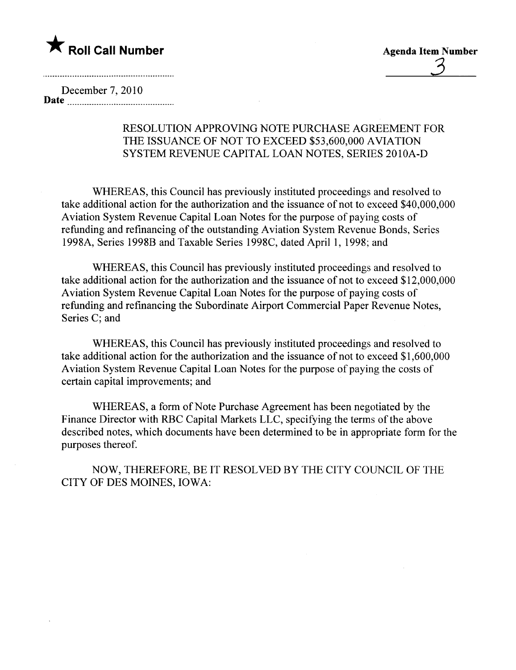

3

December 7,2010 Date

## RESOLUTION APPROVING NOTE PURCHASE AGREEMENT FOR THE ISSUANCE OF NOT TO EXCEED \$53,600,000 AVIATION SYSTEM REVENUE CAPITAL LOAN NOTES, SERIES 2010A-D

WHEREAS, this Council has previously instituted proceedings and resolved to take additional action for the authorization and the issuance of not to exceed \$40,000,000 Aviation System Revenue Capital Loan Notes for the purpose of paying costs of refunding and refinancing of the outstanding Aviation System Revenue Bonds, Series 1998A, Series 1998B and Taxable Series 1998C, dated April 1, 1998; and

WHEREAS, this Council has previously instituted proceedings and resolved to take additional action for the authorization and the issuance of not to exceed \$12,000,000 Aviation System Revenue Capital Loan Notes for the purpose of paying costs of refunding and refinancing the Subordinate Airport Commercial Paper Revenue Notes, Series C; and

WHEREAS, this Council has previously instituted proceedings and resolved to take additional action for the authorization and the issuance of not to exceed \$1,600,000 Aviation System Revenue Capital Loan Notes for the purpose of paying the costs of certain capital improvements; and

WHEREAS, a form of Note Purchase Agreement has been negotiated by the Finance Director with RBC Capital Markets LLC, specifying the terms of the above described notes, which documents have been determined to be in appropriate form for the purposes thereof.

NOW, THEREFORE, BE IT RESOLVED BY THE CITY COUNCIL OF THE CITY OF DES MOINES, IOWA: